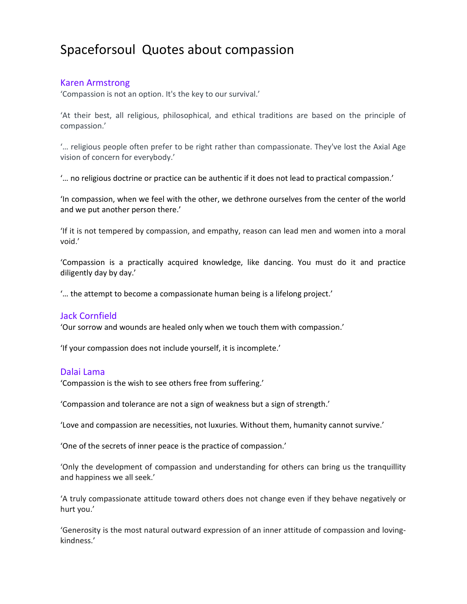# Spaceforsoul Quotes about compassion

# Karen Armstrong

'Compassion is not an option. It's the key to our survival.'

'At their best, all religious, philosophical, and ethical traditions are based on the principle of compassion.'

'… religious people often prefer to be right rather than compassionate. They've lost the Axial Age vision of concern for everybody.'

'… no religious doctrine or practice can be authentic if it does not lead to practical compassion.'

'In compassion, when we feel with the other, we dethrone ourselves from the center of the world and we put another person there.'

'If it is not tempered by compassion, and empathy, reason can lead men and women into a moral void.'

'Compassion is a practically acquired knowledge, like dancing. You must do it and practice diligently day by day.'

'… the attempt to become a compassionate human being is a lifelong project.'

#### Jack Cornfield

'Our sorrow and wounds are healed only when we touch them with compassion.'

'If your compassion does not include yourself, it is incomplete.'

#### Dalai Lama

'Compassion is the wish to see others free from suffering.'

'Compassion and tolerance are not a sign of weakness but a sign of strength.'

'Love and compassion are necessities, not luxuries. Without them, humanity cannot survive.'

'One of the secrets of inner peace is the practice of compassion.'

'Only the development of compassion and understanding for others can bring us the tranquillity and happiness we all seek.'

'A truly compassionate attitude toward others does not change even if they behave negatively or hurt you.'

'Generosity is the most natural outward expression of an inner attitude of compassion and lovingkindness.'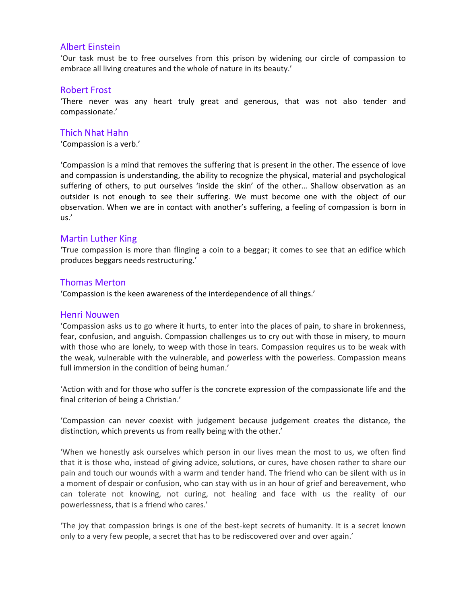# Albert Einstein

'Our task must be to free ourselves from this prison by widening our circle of compassion to embrace all living creatures and the whole of nature in its beauty.'

## Robert Frost

'There never was any heart truly great and generous, that was not also tender and compassionate.'

# Thich Nhat Hahn

'Compassion is a verb.'

'Compassion is a mind that removes the suffering that is present in the other. The essence of love and compassion is understanding, the ability to recognize the physical, material and psychological suffering of others, to put ourselves 'inside the skin' of the other… Shallow observation as an outsider is not enough to see their suffering. We must become one with the object of our observation. When we are in contact with another's suffering, a feeling of compassion is born in us.'

# Martin Luther King

'True compassion is more than flinging a coin to a beggar; it comes to see that an edifice which produces beggars needs restructuring.'

## Thomas Merton

'Compassion is the keen awareness of the interdependence of all things.'

#### Henri Nouwen

'Compassion asks us to go where it hurts, to enter into the places of pain, to share in brokenness, fear, confusion, and anguish. Compassion challenges us to cry out with those in misery, to mourn with those who are lonely, to weep with those in tears. Compassion requires us to be weak with the weak, vulnerable with the vulnerable, and powerless with the powerless. Compassion means full immersion in the condition of being human.'

'Action with and for those who suffer is the concrete expression of the compassionate life and the final criterion of being a Christian.'

'Compassion can never coexist with judgement because judgement creates the distance, the distinction, which prevents us from really being with the other.'

'When we honestly ask ourselves which person in our lives mean the most to us, we often find that it is those who, instead of giving advice, solutions, or cures, have chosen rather to share our pain and touch our wounds with a warm and tender hand. The friend who can be silent with us in a moment of despair or confusion, who can stay with us in an hour of grief and bereavement, who can tolerate not knowing, not curing, not healing and face with us the reality of our powerlessness, that is a friend who cares.'

'The joy that compassion brings is one of the best-kept secrets of humanity. It is a secret known only to a very few people, a secret that has to be rediscovered over and over again.'